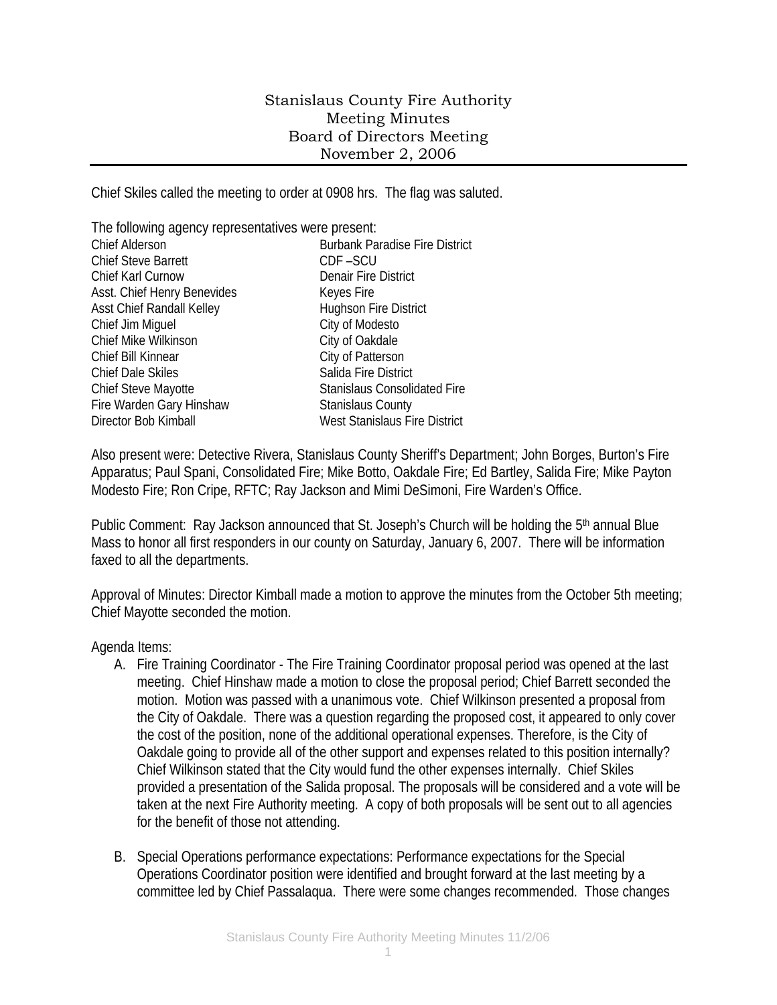## Stanislaus County Fire Authority Meeting Minutes Board of Directors Meeting November 2, 2006

Chief Skiles called the meeting to order at 0908 hrs. The flag was saluted.

| The following agency representatives were present: |                                       |
|----------------------------------------------------|---------------------------------------|
| <b>Chief Alderson</b>                              | <b>Burbank Paradise Fire District</b> |
| <b>Chief Steve Barrett</b>                         | CDF-SCU                               |
| Chief Karl Curnow                                  | <b>Denair Fire District</b>           |
| Asst. Chief Henry Benevides                        | Keyes Fire                            |
| Asst Chief Randall Kelley                          | Hughson Fire District                 |
| Chief Jim Miguel                                   | City of Modesto                       |
| Chief Mike Wilkinson                               | City of Oakdale                       |
| Chief Bill Kinnear                                 | City of Patterson                     |
| <b>Chief Dale Skiles</b>                           | Salida Fire District                  |
| <b>Chief Steve Mayotte</b>                         | <b>Stanislaus Consolidated Fire</b>   |
| Fire Warden Gary Hinshaw                           | <b>Stanislaus County</b>              |
| Director Bob Kimball                               | <b>West Stanislaus Fire District</b>  |

Also present were: Detective Rivera, Stanislaus County Sheriff's Department; John Borges, Burton's Fire Apparatus; Paul Spani, Consolidated Fire; Mike Botto, Oakdale Fire; Ed Bartley, Salida Fire; Mike Payton Modesto Fire; Ron Cripe, RFTC; Ray Jackson and Mimi DeSimoni, Fire Warden's Office.

Public Comment: Ray Jackson announced that St. Joseph's Church will be holding the 5<sup>th</sup> annual Blue Mass to honor all first responders in our county on Saturday, January 6, 2007. There will be information faxed to all the departments.

Approval of Minutes: Director Kimball made a motion to approve the minutes from the October 5th meeting; Chief Mayotte seconded the motion.

Agenda Items:

- A. Fire Training Coordinator The Fire Training Coordinator proposal period was opened at the last meeting. Chief Hinshaw made a motion to close the proposal period; Chief Barrett seconded the motion. Motion was passed with a unanimous vote. Chief Wilkinson presented a proposal from the City of Oakdale. There was a question regarding the proposed cost, it appeared to only cover the cost of the position, none of the additional operational expenses. Therefore, is the City of Oakdale going to provide all of the other support and expenses related to this position internally? Chief Wilkinson stated that the City would fund the other expenses internally. Chief Skiles provided a presentation of the Salida proposal. The proposals will be considered and a vote will be taken at the next Fire Authority meeting. A copy of both proposals will be sent out to all agencies for the benefit of those not attending.
- B. Special Operations performance expectations: Performance expectations for the Special Operations Coordinator position were identified and brought forward at the last meeting by a committee led by Chief Passalaqua. There were some changes recommended. Those changes